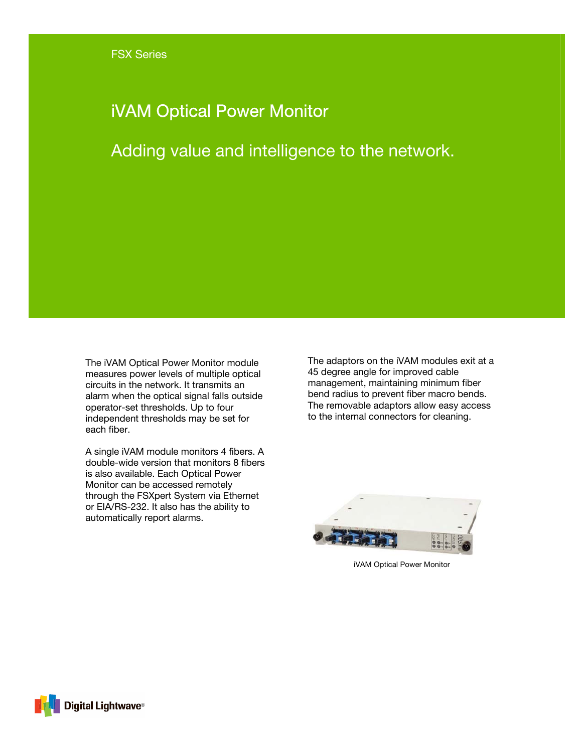## iVAM Optical Power Monitor

Adding value and intelligence to the network.

The iVAM Optical Power Monitor module measures power levels of multiple optical circuits in the network. It transmits an alarm when the optical signal falls outside operator-set thresholds. Up to four independent thresholds may be set for each fiber.

A single iVAM module monitors 4 fibers. A double-wide version that monitors 8 fibers is also available. Each Optical Power Monitor can be accessed remotely through the FSXpert System via Ethernet or EIA/RS-232. It also has the ability to automatically report alarms.

The adaptors on the iVAM modules exit at a 45 degree angle for improved cable management, maintaining minimum fiber bend radius to prevent fiber macro bends. The removable adaptors allow easy access to the internal connectors for cleaning.



iVAM Optical Power Monitor